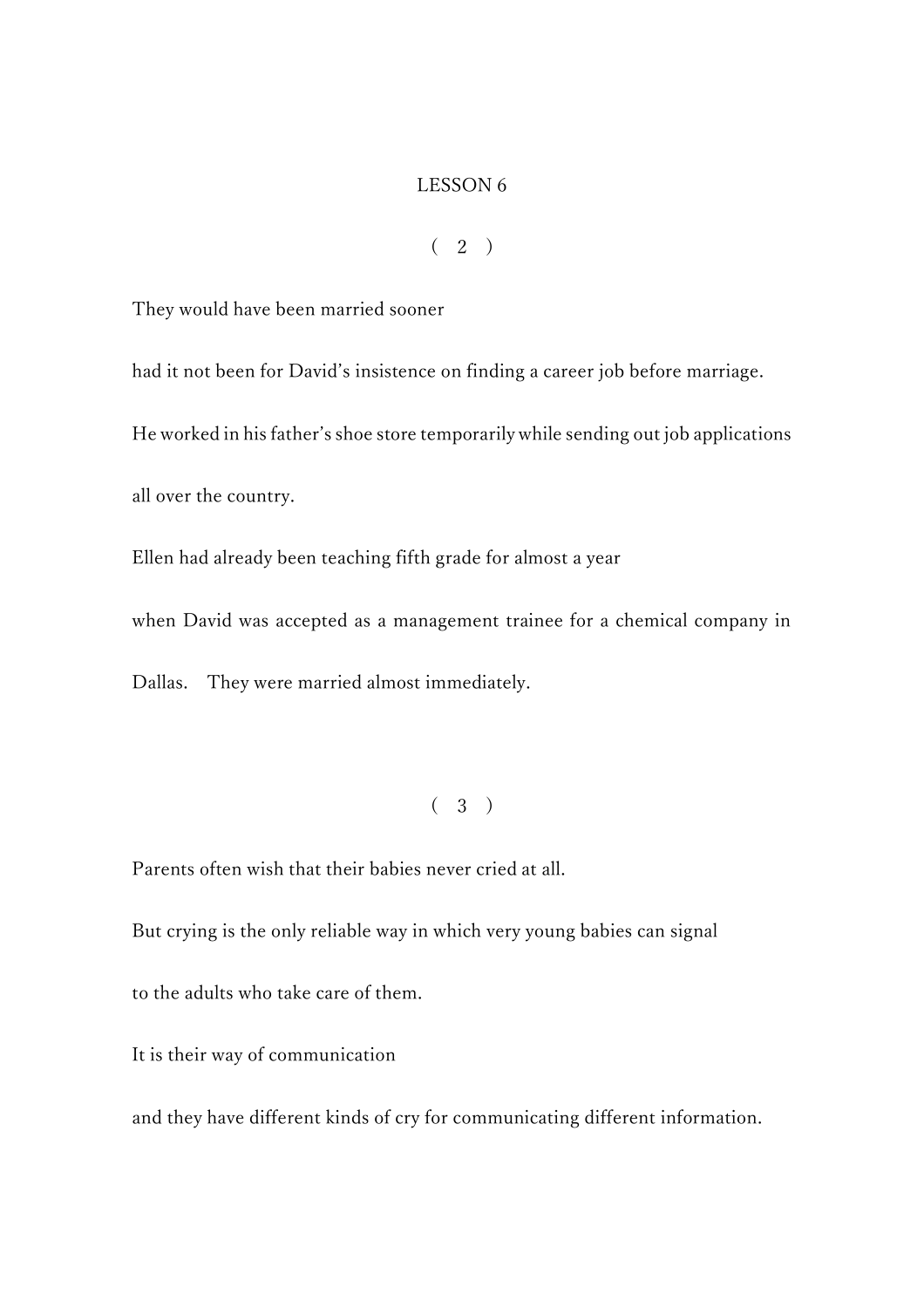#### LESSON 6

 $(2)$ 

They would have been married sooner

had it not been for David's insistence on finding a career job before marriage. He worked in his father's shoe store temporarily while sending out job applications all over the country.

Ellen had already been teaching fifth grade for almost a year

when David was accepted as a management trainee for a chemical company in

Dallas. They were married almost immediately.

## $(3)$

Parents often wish that their babies never cried at all.

But crying is the only reliable way in which very young babies can signal to the adults who take care of them.

It is their way of communication

and they have different kinds of cry for communicating different information.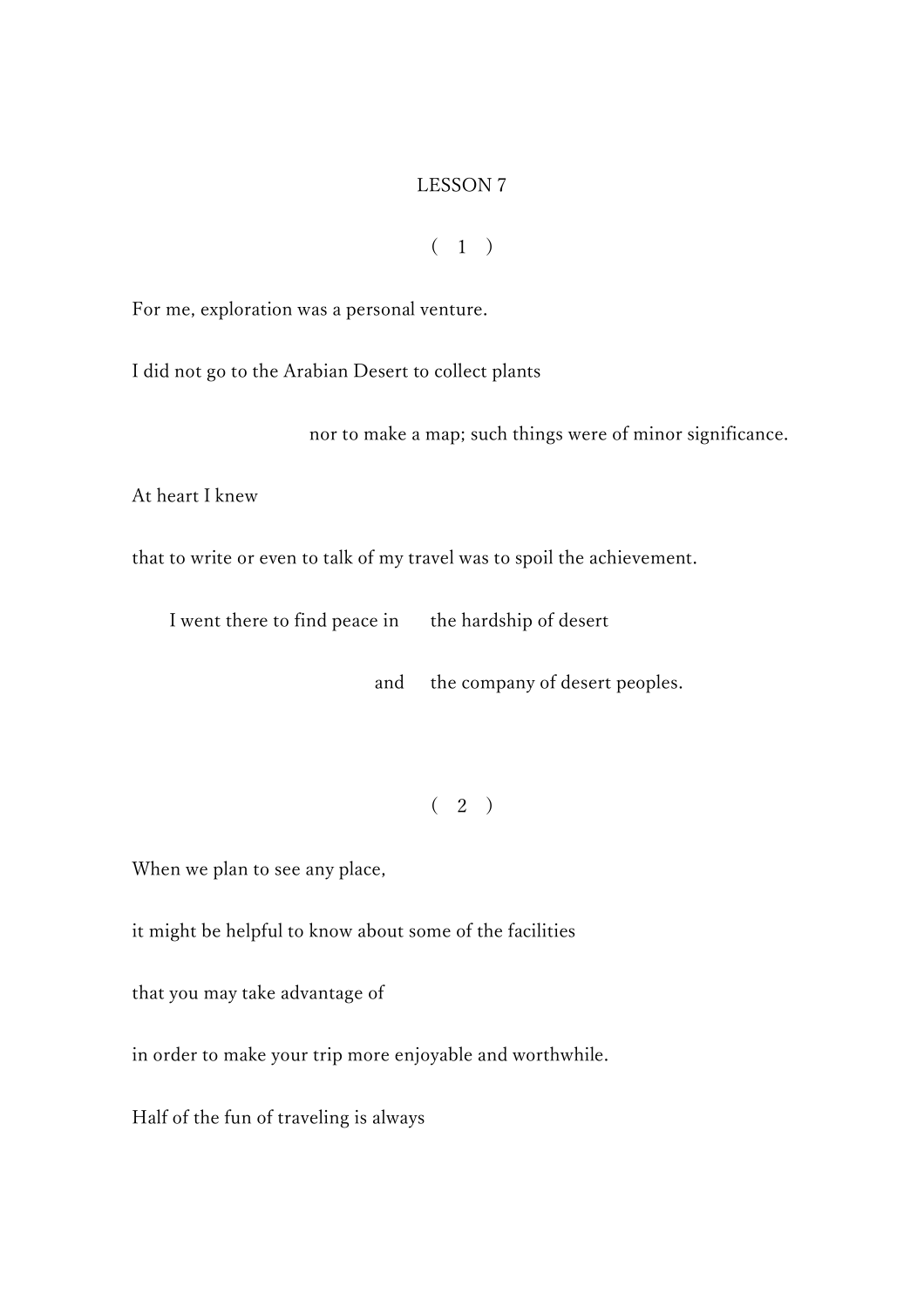### LESSON 7

 $(1)$ 

For me, exploration was a personal venture.

I did not go to the Arabian Desert to collect plants

nor to make a map; such things were of minor significance.

At heart I knew

that to write or even to talk of my travel was to spoil the achievement.

I went there to find peace in the hardship of desert

and the company of desert peoples.

 $(2)$ 

When we plan to see any place,

it might be helpful to know about some of the facilities

that you may take advantage of

in order to make your trip more enjoyable and worthwhile.

Half of the fun of traveling is always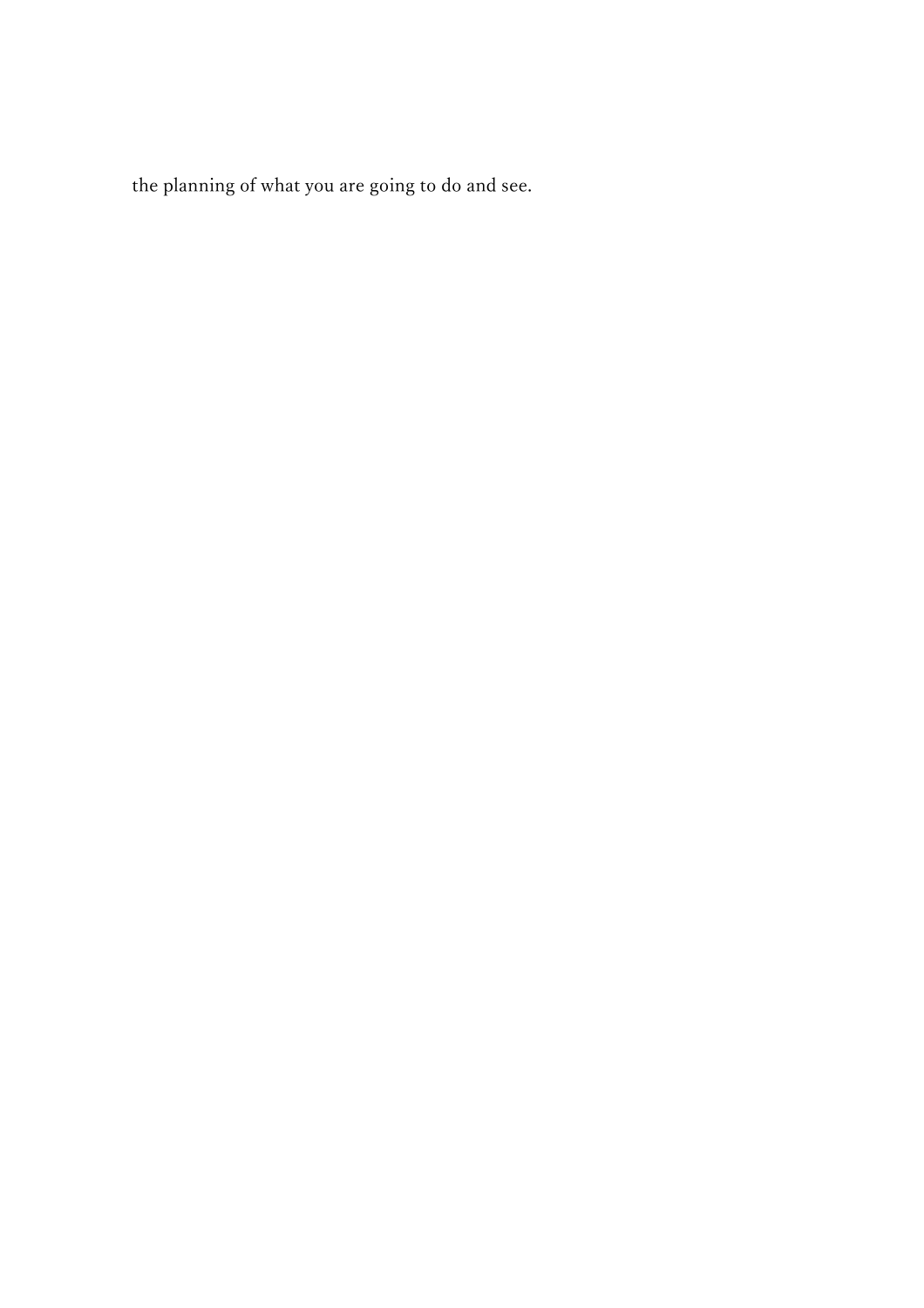the planning of what you are going to do and see.